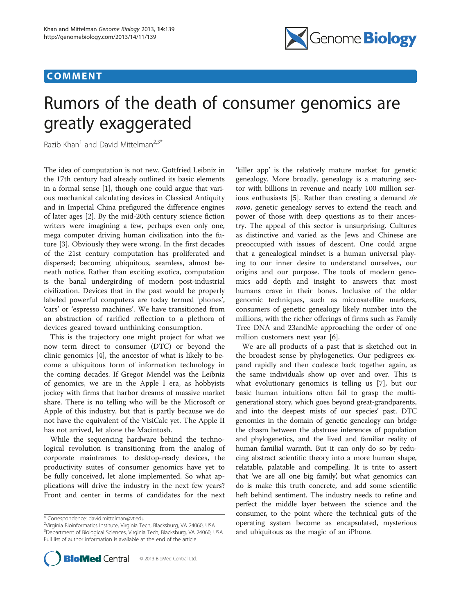## COMMENT



# Rumors of the death of consumer genomics are greatly exaggerated

Razib Khan<sup>1</sup> and David Mittelman<sup>2,3\*</sup>

The idea of computation is not new. Gottfried Leibniz in the 17th century had already outlined its basic elements in a formal sense [\[1\]](#page-1-0), though one could argue that various mechanical calculating devices in Classical Antiquity and in Imperial China prefigured the difference engines of later ages [\[2](#page-1-0)]. By the mid-20th century science fiction writers were imagining a few, perhaps even only one, mega computer driving human civilization into the future [[3\]](#page-1-0). Obviously they were wrong. In the first decades of the 21st century computation has proliferated and dispersed; becoming ubiquitous, seamless, almost beneath notice. Rather than exciting exotica, computation is the banal undergirding of modern post-industrial civilization. Devices that in the past would be properly labeled powerful computers are today termed 'phones', 'cars' or 'espresso machines'. We have transitioned from an abstraction of rarified reflection to a plethora of devices geared toward unthinking consumption.

This is the trajectory one might project for what we now term direct to consumer (DTC) or beyond the clinic genomics [[4](#page-1-0)], the ancestor of what is likely to become a ubiquitous form of information technology in the coming decades. If Gregor Mendel was the Leibniz of genomics, we are in the Apple I era, as hobbyists jockey with firms that harbor dreams of massive market share. There is no telling who will be the Microsoft or Apple of this industry, but that is partly because we do not have the equivalent of the VisiCalc yet. The Apple II has not arrived, let alone the Macintosh.

While the sequencing hardware behind the technological revolution is transitioning from the analog of corporate mainframes to desktop-ready devices, the productivity suites of consumer genomics have yet to be fully conceived, let alone implemented. So what applications will drive the industry in the next few years? Front and center in terms of candidates for the next

<sup>&</sup>lt;sup>2</sup>Virginia Bioinformatics Institute, Virginia Tech, Blacksburg, VA 24060, USA 3 Department of Biological Sciences, Virginia Tech, Blacksburg, VA 24060, USA Full list of author information is available at the end of the article



'killer app' is the relatively mature market for genetic genealogy. More broadly, genealogy is a maturing sector with billions in revenue and nearly 100 million serious enthusiasts [\[5](#page-1-0)]. Rather than creating a demand de novo, genetic genealogy serves to extend the reach and power of those with deep questions as to their ancestry. The appeal of this sector is unsurprising. Cultures as distinctive and varied as the Jews and Chinese are preoccupied with issues of descent. One could argue that a genealogical mindset is a human universal playing to our inner desire to understand ourselves, our origins and our purpose. The tools of modern genomics add depth and insight to answers that most humans crave in their bones. Inclusive of the older genomic techniques, such as microsatellite markers, consumers of genetic genealogy likely number into the millions, with the richer offerings of firms such as Family Tree DNA and 23andMe approaching the order of one million customers next year [[6\]](#page-1-0).

We are all products of a past that is sketched out in the broadest sense by phylogenetics. Our pedigrees expand rapidly and then coalesce back together again, as the same individuals show up over and over. This is what evolutionary genomics is telling us [[7\]](#page-2-0), but our basic human intuitions often fail to grasp the multigenerational story, which goes beyond great-grandparents, and into the deepest mists of our species' past. DTC genomics in the domain of genetic genealogy can bridge the chasm between the abstruse inferences of population and phylogenetics, and the lived and familiar reality of human familial warmth. But it can only do so by reducing abstract scientific theory into a more human shape, relatable, palatable and compelling. It is trite to assert that 'we are all one big family', but what genomics can do is make this truth concrete, and add some scientific heft behind sentiment. The industry needs to refine and perfect the middle layer between the science and the consumer, to the point where the technical guts of the operating system become as encapsulated, mysterious and ubiquitous as the magic of an iPhone.

<sup>\*</sup> Correspondence: [david.mittelman@vt.edu](mailto:david.mittelman@vt.edu) <sup>2</sup>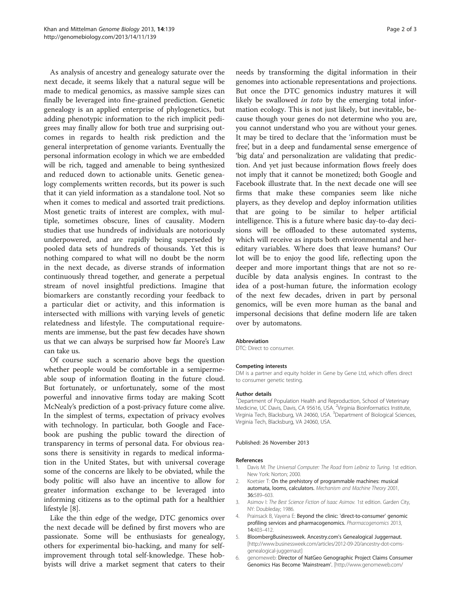<span id="page-1-0"></span>As analysis of ancestry and genealogy saturate over the next decade, it seems likely that a natural segue will be made to medical genomics, as massive sample sizes can finally be leveraged into fine-grained prediction. Genetic genealogy is an applied enterprise of phylogenetics, but adding phenotypic information to the rich implicit pedigrees may finally allow for both true and surprising outcomes in regards to health risk prediction and the general interpretation of genome variants. Eventually the personal information ecology in which we are embedded will be rich, tagged and amenable to being synthesized and reduced down to actionable units. Genetic genealogy complements written records, but its power is such that it can yield information as a standalone tool. Not so when it comes to medical and assorted trait predictions. Most genetic traits of interest are complex, with multiple, sometimes obscure, lines of causality. Modern studies that use hundreds of individuals are notoriously underpowered, and are rapidly being superseded by pooled data sets of hundreds of thousands. Yet this is nothing compared to what will no doubt be the norm in the next decade, as diverse strands of information continuously thread together, and generate a perpetual stream of novel insightful predictions. Imagine that biomarkers are constantly recording your feedback to a particular diet or activity, and this information is intersected with millions with varying levels of genetic relatedness and lifestyle. The computational requirements are immense, but the past few decades have shown us that we can always be surprised how far Moore's Law can take us.

Of course such a scenario above begs the question whether people would be comfortable in a semipermeable soup of information floating in the future cloud. But fortunately, or unfortunately, some of the most powerful and innovative firms today are making Scott McNealy's prediction of a post-privacy future come alive. In the simplest of terms, expectation of privacy evolves with technology. In particular, both Google and Facebook are pushing the public toward the direction of transparency in terms of personal data. For obvious reasons there is sensitivity in regards to medical information in the United States, but with universal coverage some of the concerns are likely to be obviated, while the body politic will also have an incentive to allow for greater information exchange to be leveraged into informing citizens as to the optimal path for a healthier lifestyle [\[8](#page-2-0)].

Like the thin edge of the wedge, DTC genomics over the next decade will be defined by first movers who are passionate. Some will be enthusiasts for genealogy, others for experimental bio-hacking, and many for selfimprovement through total self-knowledge. These hobbyists will drive a market segment that caters to their

needs by transforming the digital information in their genomes into actionable representations and projections. But once the DTC genomics industry matures it will likely be swallowed *in toto* by the emerging total information ecology. This is not just likely, but inevitable, because though your genes do not determine who you are, you cannot understand who you are without your genes. It may be tired to declare that the 'information must be free', but in a deep and fundamental sense emergence of 'big data' and personalization are validating that prediction. And yet just because information flows freely does not imply that it cannot be monetized; both Google and Facebook illustrate that. In the next decade one will see firms that make these companies seem like niche players, as they develop and deploy information utilities that are going to be similar to helper artificial intelligence. This is a future where basic day-to-day decisions will be offloaded to these automated systems, which will receive as inputs both environmental and hereditary variables. Where does that leave humans? Our lot will be to enjoy the good life, reflecting upon the deeper and more important things that are not so reducible by data analysis engines. In contrast to the idea of a post-human future, the information ecology of the next few decades, driven in part by personal genomics, will be even more human as the banal and impersonal decisions that define modern life are taken over by automatons.

#### Abbreviation

DTC: Direct to consumer.

#### Competing interests

DM is a partner and equity holder in Gene by Gene Ltd, which offers direct to consumer genetic testing.

#### Author details

<sup>1</sup>Department of Population Health and Reproduction, School of Veterinary Medicine, UC Davis, Davis, CA 95616, USA. <sup>2</sup>Virginia Bioinformatics Institute Virginia Tech, Blacksburg, VA 24060, USA. <sup>3</sup>Department of Biological Sciences Virginia Tech, Blacksburg, VA 24060, USA.

#### Published: 26 November 2013

#### References

- 1. Davis M: The Universal Computer: The Road from Leibniz to Turing. 1st edition. New York: Norton; 2000.
- 2. Koetsier T: On the prehistory of programmable machines: musical automata, looms, calculators. Mechanism and Machine Theory 2001, 36:589–603.
- 3. Asimov I: The Best Science Fiction of Isaac Asimov. 1st edition. Garden City, NY: Doubleday; 1986.
- 4. Prainsack B, Vayena E: Beyond the clinic: 'direct-to-consumer' genomic profiling services and pharmacogenomics. Pharmacogenomics 2013, 14:403–412.
- 5. BloombergBusinessweek. Ancestry.com's Genealogical Juggernaut. [[http://www.businessweek.com/articles/2012-09-20/ancestry-dot-coms](http://www.businessweek.com/articles/2012-09-20/ancestry-dot-coms-genealogical-juggernaut)[genealogical-juggernaut](http://www.businessweek.com/articles/2012-09-20/ancestry-dot-coms-genealogical-juggernaut)]
- 6. genomeweb: Director of NatGeo Genographic Project Claims Consumer Genomics Has Become 'Mainstream'. [[http://www.genomeweb.com/](http://www.genomeweb.com/arrays/director-natgeo-genographic-project-claims-consumer-genomics-has-become-mainstre)